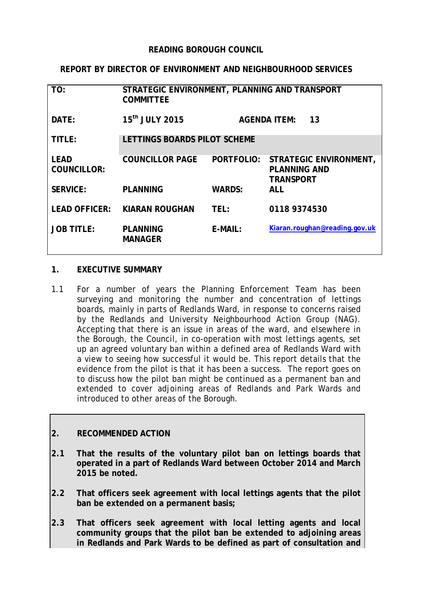#### **READING BOROUGH COUNCIL**

#### **REPORT BY DIRECTOR OF ENVIRONMENT AND NEIGHBOURHOOD SERVICES**

| TO:                               | STRATEGIC ENVIRONMENT, PLANNING AND TRANSPORT<br><b>COMMITTEE</b> |               |                                                                   |
|-----------------------------------|-------------------------------------------------------------------|---------------|-------------------------------------------------------------------|
| DATE:                             | 15 <sup>th</sup> JULY 2015                                        |               | <b>AGENDA ITEM:</b><br>13                                         |
| TITLE:                            | LETTINGS BOARDS PILOT SCHEME                                      |               |                                                                   |
| <b>LEAD</b><br><b>COUNCILLOR:</b> | <b>COUNCILLOR PAGE</b>                                            | PORTFOLIO:    | STRATEGIC ENVIRONMENT,<br><b>PLANNING AND</b><br><b>TRANSPORT</b> |
| <b>SERVICE:</b>                   | <b>PLANNING</b>                                                   | <b>WARDS:</b> | ALL                                                               |
| <b>LEAD OFFICER:</b>              | <b>KIARAN ROUGHAN</b>                                             | TEL:          | 0118 9374530                                                      |
| <b>JOB TITLE:</b>                 | <b>PLANNING</b><br><b>MANAGER</b>                                 | E-MAIL:       | Kiaran.roughan@reading.gov.uk                                     |

#### **1. EXECUTIVE SUMMARY**

1.1 For a number of years the Planning Enforcement Team has been surveying and monitoring the number and concentration of lettings boards, mainly in parts of Redlands Ward, in response to concerns raised by the Redlands and University Neighbourhood Action Group (NAG). Accepting that there is an issue in areas of the ward, and elsewhere in the Borough, the Council, in co-operation with most lettings agents, set up an agreed voluntary ban within a defined area of Redlands Ward with a view to seeing how successful it would be. This report details that the evidence from the pilot is that it has been a success. The report goes on to discuss how the pilot ban might be continued as a permanent ban and extended to cover adjoining areas of Redlands and Park Wards and introduced to other areas of the Borough.

#### **2. RECOMMENDED ACTION**

- **2.1 That the results of the voluntary pilot ban on lettings boards that operated in a part of Redlands Ward between October 2014 and March 2015 be noted.**
- **2.2 That officers seek agreement with local lettings agents that the pilot ban be extended on a permanent basis;**
- **2.3 That officers seek agreement with local letting agents and local community groups that the pilot ban be extended to adjoining areas in Redlands and Park Wards to be defined as part of consultation and**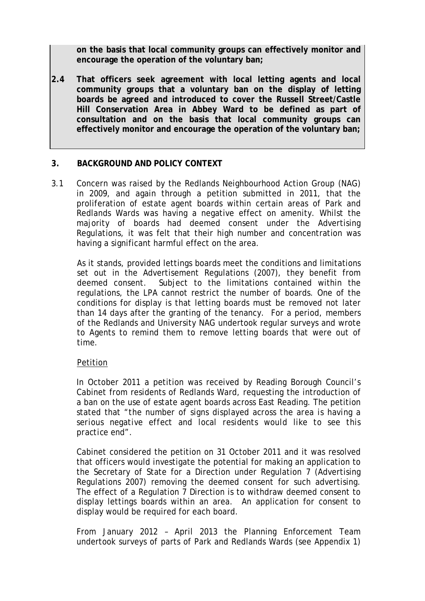**on the basis that local community groups can effectively monitor and encourage the operation of the voluntary ban;**

**2.4 That officers seek agreement with local letting agents and local community groups that a voluntary ban on the display of letting boards be agreed and introduced to cover the Russell Street/Castle Hill Conservation Area in Abbey Ward to be defined as part of consultation and on the basis that local community groups can effectively monitor and encourage the operation of the voluntary ban;**

### **3. BACKGROUND AND POLICY CONTEXT**

3.1 Concern was raised by the Redlands Neighbourhood Action Group (NAG) in 2009, and again through a petition submitted in 2011, that the proliferation of estate agent boards within certain areas of Park and Redlands Wards was having a negative effect on amenity. Whilst the majority of boards had deemed consent under the Advertising Regulations, it was felt that their high number and concentration was having a significant harmful effect on the area.

As it stands, provided lettings boards meet the conditions and limitations set out in the Advertisement Regulations (2007), they benefit from deemed consent. Subject to the limitations contained within the regulations, the LPA cannot restrict the number of boards. One of the conditions for display is that letting boards must be removed not later than 14 days after the granting of the tenancy. For a period, members of the Redlands and University NAG undertook regular surveys and wrote to Agents to remind them to remove letting boards that were out of time.

#### Petition

In October 2011 a petition was received by Reading Borough Council's Cabinet from residents of Redlands Ward, requesting the introduction of a ban on the use of estate agent boards across East Reading. The petition stated that *"the number of signs displayed across the area is having a serious negative effect and local residents would like to see this practice end".* 

Cabinet considered the petition on 31 October 2011 and it was resolved that officers would investigate the potential for making an application to the Secretary of State for a Direction under Regulation 7 (Advertising Regulations 2007) removing the deemed consent for such advertising. The effect of a Regulation 7 Direction is to withdraw deemed consent to display lettings boards within an area. An application for consent to display would be required for each board.

From January 2012 – April 2013 the Planning Enforcement Team undertook surveys of parts of Park and Redlands Wards (see Appendix 1)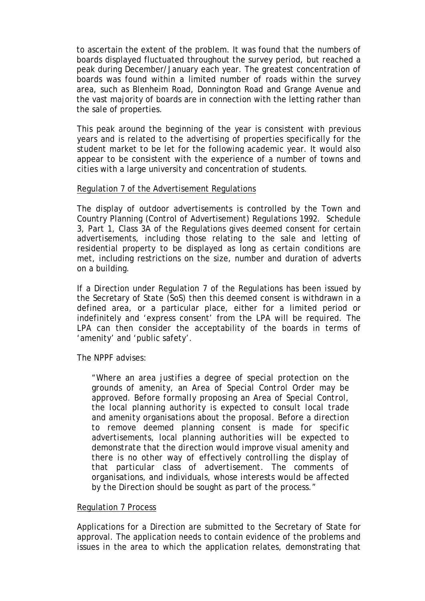to ascertain the extent of the problem. It was found that the numbers of boards displayed fluctuated throughout the survey period, but reached a peak during December/January each year. The greatest concentration of boards was found within a limited number of roads within the survey area, such as Blenheim Road, Donnington Road and Grange Avenue and the vast majority of boards are in connection with the letting rather than the sale of properties.

This peak around the beginning of the year is consistent with previous years and is related to the advertising of properties specifically for the student market to be let for the following academic year. It would also appear to be consistent with the experience of a number of towns and cities with a large university and concentration of students.

#### Regulation 7 of the Advertisement Regulations

The display of outdoor advertisements is controlled by the Town and Country Planning (Control of Advertisement) Regulations 1992. Schedule 3, Part 1, Class 3A of the Regulations gives deemed consent for certain advertisements, including those relating to the sale and letting of residential property to be displayed as long as certain conditions are met, including restrictions on the size, number and duration of adverts on a building.

If a Direction under Regulation 7 of the Regulations has been issued by the Secretary of State (SoS) then this deemed consent is withdrawn in a defined area, or a particular place, either for a limited period or indefinitely and 'express consent' from the LPA will be required. The LPA can then consider the acceptability of the boards in terms of 'amenity' and 'public safety'.

The NPPF advises:

*"Where an area justifies a degree of special protection on the grounds of amenity, an Area of Special Control Order may be approved. Before formally proposing an Area of Special Control, the local planning authority is expected to consult local trade and amenity organisations about the proposal. Before a direction to remove deemed planning consent is made for specific advertisements, local planning authorities will be expected to demonstrate that the direction would improve visual amenity and there is no other way of effectively controlling the display of that particular class of advertisement. The comments of organisations, and individuals, whose interests would be affected by the Direction should be sought as part of the process."*

#### Regulation 7 Process

Applications for a Direction are submitted to the Secretary of State for approval. The application needs to contain evidence of the problems and issues in the area to which the application relates, demonstrating that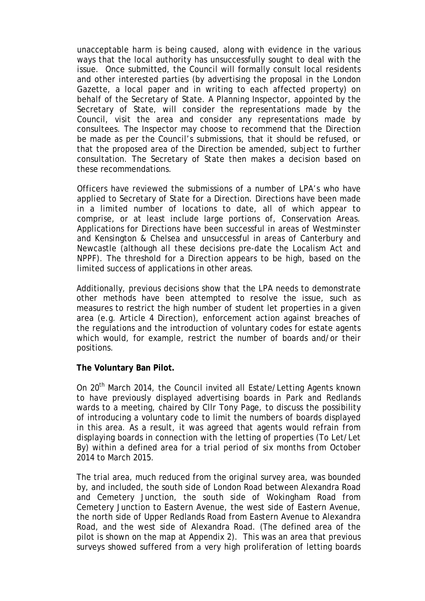unacceptable harm is being caused, along with evidence in the various ways that the local authority has unsuccessfully sought to deal with the issue. Once submitted, the Council will formally consult local residents and other interested parties (by advertising the proposal in the London Gazette, a local paper and in writing to each affected property) on behalf of the Secretary of State. A Planning Inspector, appointed by the Secretary of State, will consider the representations made by the Council, visit the area and consider any representations made by consultees. The Inspector may choose to recommend that the Direction be made as per the Council's submissions, that it should be refused, or that the proposed area of the Direction be amended, subject to further consultation. The Secretary of State then makes a decision based on these recommendations.

Officers have reviewed the submissions of a number of LPA's who have applied to Secretary of State for a Direction. Directions have been made in a limited number of locations to date, all of which appear to comprise, or at least include large portions of, Conservation Areas. Applications for Directions have been successful in areas of Westminster and Kensington & Chelsea and unsuccessful in areas of Canterbury and Newcastle (although all these decisions pre-date the Localism Act and NPPF). The threshold for a Direction appears to be high, based on the limited success of applications in other areas.

Additionally, previous decisions show that the LPA needs to demonstrate other methods have been attempted to resolve the issue, such as measures to restrict the high number of student let properties in a given area (e.g. Article 4 Direction), enforcement action against breaches of the regulations and the introduction of voluntary codes for estate agents which would, for example, restrict the number of boards and/or their positions.

#### **The Voluntary Ban Pilot.**

On 20<sup>th</sup> March 2014, the Council invited all Estate/Letting Agents known to have previously displayed advertising boards in Park and Redlands wards to a meeting, chaired by Cllr Tony Page, to discuss the possibility of introducing a voluntary code to limit the numbers of boards displayed in this area. As a result, it was agreed that agents would refrain from displaying boards in connection with the letting of properties (To Let/Let By) within a defined area for a trial period of six months from October 2014 to March 2015.

The trial area, much reduced from the original survey area, was bounded by, and included, the south side of London Road between Alexandra Road and Cemetery Junction, the south side of Wokingham Road from Cemetery Junction to Eastern Avenue, the west side of Eastern Avenue, the north side of Upper Redlands Road from Eastern Avenue to Alexandra Road, and the west side of Alexandra Road. (The defined area of the pilot is shown on the map at Appendix 2). This was an area that previous surveys showed suffered from a very high proliferation of letting boards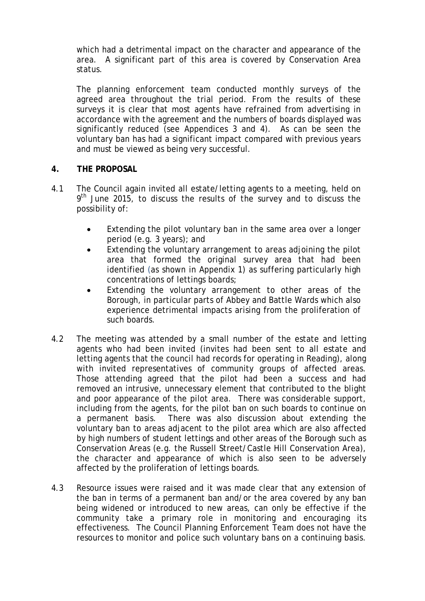which had a detrimental impact on the character and appearance of the area. A significant part of this area is covered by Conservation Area status.

The planning enforcement team conducted monthly surveys of the agreed area throughout the trial period. From the results of these surveys it is clear that most agents have refrained from advertising in accordance with the agreement and the numbers of boards displayed was significantly reduced (see Appendices 3 and 4). As can be seen the voluntary ban has had a significant impact compared with previous years and must be viewed as being very successful.

### **4. THE PROPOSAL**

- 4.1 The Council again invited all estate/letting agents to a meeting, held on  $9<sup>th</sup>$  June 2015, to discuss the results of the survey and to discuss the possibility of:
	- Extending the pilot voluntary ban in the same area over a longer period (e.g. 3 years); and
	- Extending the voluntary arrangement to areas adjoining the pilot area that formed the original survey area that had been identified (as shown in Appendix 1) as suffering particularly high concentrations of lettings boards;
	- Extending the voluntary arrangement to other areas of the Borough, in particular parts of Abbey and Battle Wards which also experience detrimental impacts arising from the proliferation of such boards.
- 4.2 The meeting was attended by a small number of the estate and letting agents who had been invited (invites had been sent to all estate and letting agents that the council had records for operating in Reading), along with invited representatives of community groups of affected areas. Those attending agreed that the pilot had been a success and had removed an intrusive, unnecessary element that contributed to the blight and poor appearance of the pilot area. There was considerable support, including from the agents, for the pilot ban on such boards to continue on a permanent basis. There was also discussion about extending the voluntary ban to areas adjacent to the pilot area which are also affected by high numbers of student lettings and other areas of the Borough such as Conservation Areas (e.g. the Russell Street/Castle Hill Conservation Area), the character and appearance of which is also seen to be adversely affected by the proliferation of lettings boards.
- 4.3 Resource issues were raised and it was made clear that any extension of the ban in terms of a permanent ban and/or the area covered by any ban being widened or introduced to new areas, can only be effective if the community take a primary role in monitoring and encouraging its effectiveness. The Council Planning Enforcement Team does not have the resources to monitor and police such voluntary bans on a continuing basis.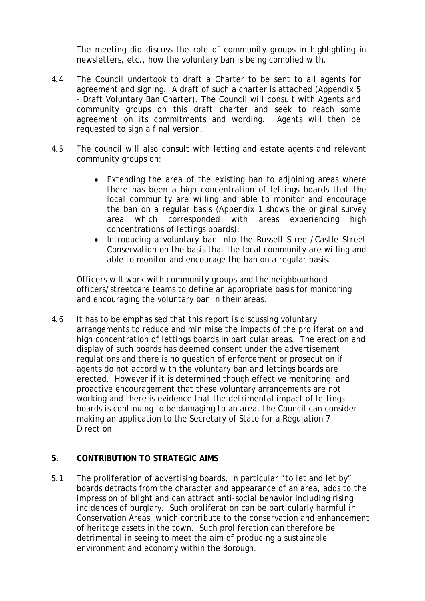The meeting did discuss the role of community groups in highlighting in newsletters, etc., how the voluntary ban is being complied with.

- 4.4 The Council undertook to draft a Charter to be sent to all agents for agreement and signing. A draft of such a charter is attached (Appendix 5 - Draft Voluntary Ban Charter). The Council will consult with Agents and community groups on this draft charter and seek to reach some agreement on its commitments and wording. Agents will then be requested to sign a final version.
- 4.5 The council will also consult with letting and estate agents and relevant community groups on:
	- Extending the area of the existing ban to adjoining areas where there has been a high concentration of lettings boards that the local community are willing and able to monitor and encourage the ban on a regular basis (Appendix 1 shows the original survey area which corresponded with areas experiencing high concentrations of lettings boards);
	- Introducing a voluntary ban into the Russell Street/Castle Street Conservation on the basis that the local community are willing and able to monitor and encourage the ban on a regular basis.

Officers will work with community groups and the neighbourhood officers/streetcare teams to define an appropriate basis for monitoring and encouraging the voluntary ban in their areas.

4.6 It has to be emphasised that this report is discussing voluntary arrangements to reduce and minimise the impacts of the proliferation and high concentration of lettings boards in particular areas. The erection and display of such boards has deemed consent under the advertisement regulations and there is no question of enforcement or prosecution if agents do not accord with the voluntary ban and lettings boards are erected. However if it is determined though effective monitoring and proactive encouragement that these voluntary arrangements are not working and there is evidence that the detrimental impact of lettings boards is continuing to be damaging to an area, the Council can consider making an application to the Secretary of State for a Regulation 7 Direction.

### **5. CONTRIBUTION TO STRATEGIC AIMS**

5.1 The proliferation of advertising boards, in particular "to let and let by" boards detracts from the character and appearance of an area, adds to the impression of blight and can attract anti-social behavior including rising incidences of burglary. Such proliferation can be particularly harmful in Conservation Areas, which contribute to the conservation and enhancement of heritage assets in the town. Such proliferation can therefore be detrimental in seeing to meet the aim of producing a sustainable environment and economy within the Borough.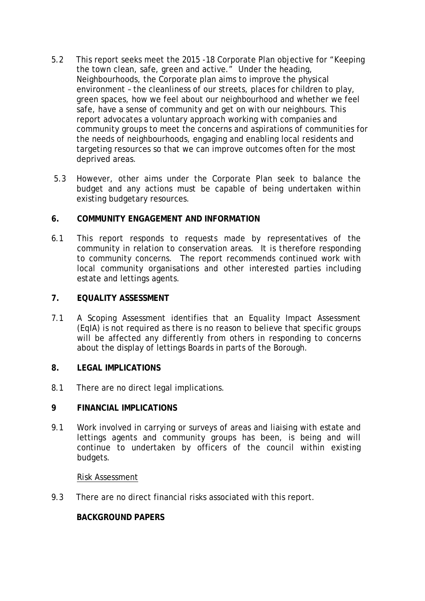- 5.2 This report seeks meet the 2015 -18 Corporate Plan objective for "Keeping the town clean, safe, green and active." Under the heading, Neighbourhoods, the Corporate plan aims to improve the physical environment – the cleanliness of our streets, places for children to play, green spaces, how we feel about our neighbourhood and whether we feel safe, have a sense of community and get on with our neighbours. This report advocates a voluntary approach working with companies and community groups to meet the concerns and aspirations of communities for the needs of neighbourhoods, engaging and enabling local residents and targeting resources so that we can improve outcomes often for the most deprived areas.
- 5.3 However, other aims under the Corporate Plan seek to balance the budget and any actions must be capable of being undertaken within existing budgetary resources.

#### **6. COMMUNITY ENGAGEMENT AND INFORMATION**

6.1 This report responds to requests made by representatives of the community in relation to conservation areas. It is therefore responding to community concerns. The report recommends continued work with local community organisations and other interested parties including estate and lettings agents.

#### **7. EQUALITY ASSESSMENT**

7.1 A Scoping Assessment identifies that an Equality Impact Assessment (EqIA) is not required as there is no reason to believe that specific groups will be affected any differently from others in responding to concerns about the display of lettings Boards in parts of the Borough.

#### **8. LEGAL IMPLICATIONS**

8.1 There are no direct legal implications.

#### **9 FINANCIAL IMPLICATIONS**

9.1 Work involved in carrying or surveys of areas and liaising with estate and lettings agents and community groups has been, is being and will continue to undertaken by officers of the council within existing budgets.

#### Risk Assessment

9.3 There are no direct financial risks associated with this report.

#### **BACKGROUND PAPERS**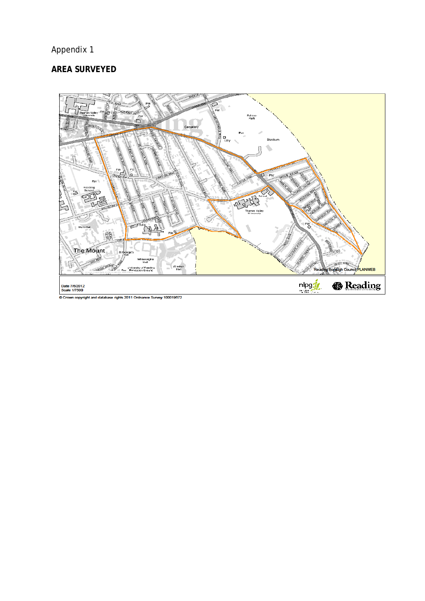# Appendix 1

## **AREA SURVEYED**

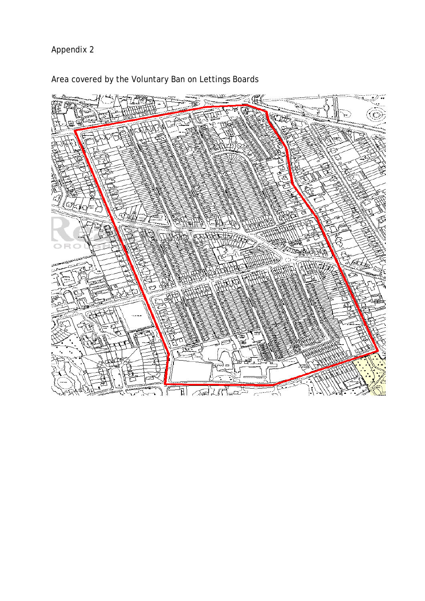# Appendix 2



Area covered by the Voluntary Ban on Lettings Boards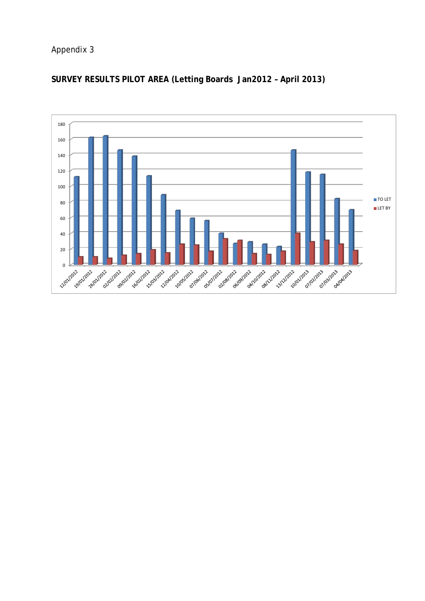## Appendix 3



# **SURVEY RESULTS PILOT AREA (Letting Boards Jan2012 – April 2013)**